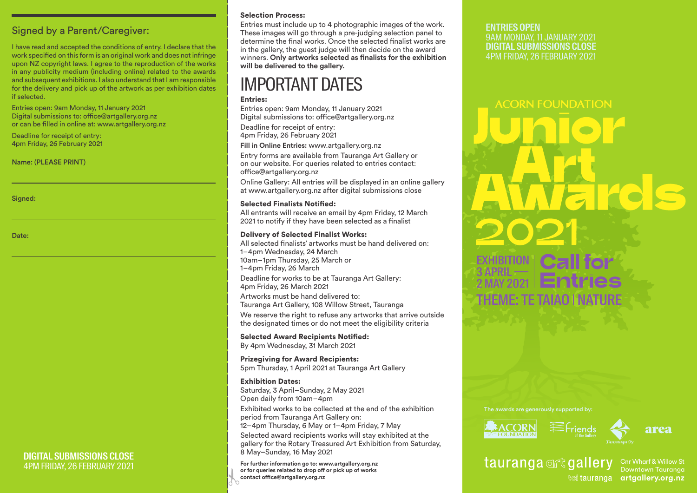Signed by a Parent/Caregiver:

I have read and accepted the conditions of entry. I declare that the work specified on this form is an original work and does not infringe upon NZ copyright laws. I agree to the reproduction of the works in any publicity medium (including online) related to the awards and subsequent exhibitions. I also understand that I am responsible for the delivery and pick up of the artwork as per exhibition dates if selected.

Entries open: 9am Monday, 11 January 2021 Digital submissions to: office@artgallery.org.nz or can be filled in online at: www.artgallery.org.nz

**DIGITAL SUBMISSIONS CLOSE**  4PM FRIDAY, 26 FEBRUARY 2021

Deadline for receipt of entry: 4pm Friday, 26 February 2021

Name: (PLEASE PRINT)

Signed:

Date:

# Selection Process:

Entries must include up to 4 photographic images of the work. These images will go through a pre-judging selection panel to determine the final works. Once the selected finalist works are in the gallery, the guest judge will then decide on the award winners. **Only artworks selected as finalists for the exhibition will be delivered to the gallery.**

# IMPORTANT DATES

### Entries:

Entries open: 9am Monday, 11 January 2021 Digital submissions to: office@artgallery.org.nz Deadline for receipt of entry: 4pm Friday, 26 February 2021

**Fill in Online Entries:** www.artgallery.org.nz

Entry forms are available from Tauranga Art Gallery or on our website. For queries related to entries contact: office@artgallery.org.nz

Online Gallery: All entries will be displayed in an online gallery at www.artgallery.org.nz after digital submissions close

### Selected Finalists Notified:

All entrants will receive an email by 4pm Friday, 12 March 2021 to notify if they have been selected as a finalist

# Delivery of Selected Finalist Works:

All selected finalists' artworks must be hand delivered on: 1–4pm Wednesday, 24 March 10am–1pm Thursday, 25 March or 1–4pm Friday, 26 March

Deadline for works to be at Tauranga Art Gallery: 4pm Friday, 26 March 2021

Artworks must be hand delivered to: Tauranga Art Gallery, 108 Willow Street, Tauranga

We reserve the right to refuse any artworks that arrive outside the designated times or do not meet the eligibility criteria

Selected Award Recipients Notified: By 4pm Wednesday, 31 March 2021

Prizegiving for Award Recipients: 5pm Thursday, 1 April 2021 at Tauranga Art Gallery

### Exhibition Dates: Saturday, 3 April–Sunday, 2 May 2021 Open daily from 10am–4pm Exhibited works to be collected at the end of the exhibition period from Tauranga Art Gallery on: 12–4pm Thursday, 6 May or 1–4pm Friday, 7 May

Selected award recipients works will stay exhibited at the gallery for the Rotary Treasured Art Exhibition from Saturday, 8 May–Sunday, 16 May 2021

 $rac{1}{\sqrt{2}}$ **For further information go to: www.artgallery.org.nz or for queries related to drop off or pick up of works contact office@artgallery.org.nz** 

# **ENTRIES OPEN**

9AM MONDAY, 11 JANUARY 2021 **DIGITAL SUBMISSIONS CLOSE**  4PM FRIDAY, 26 FEBRUARY 2021

# **ACORN FOUNDATION EIKC Call for** EXHIBITION 3 APRIL —— **Entries** 2 MAY 2021 THEME: TE TAIAO | NATURE

The awards are generously supported by:





# tauranga@rtgallery

Cnr Wharf & Willow St Downtown Tauranga **koi tauranga artgallery.org.nz**